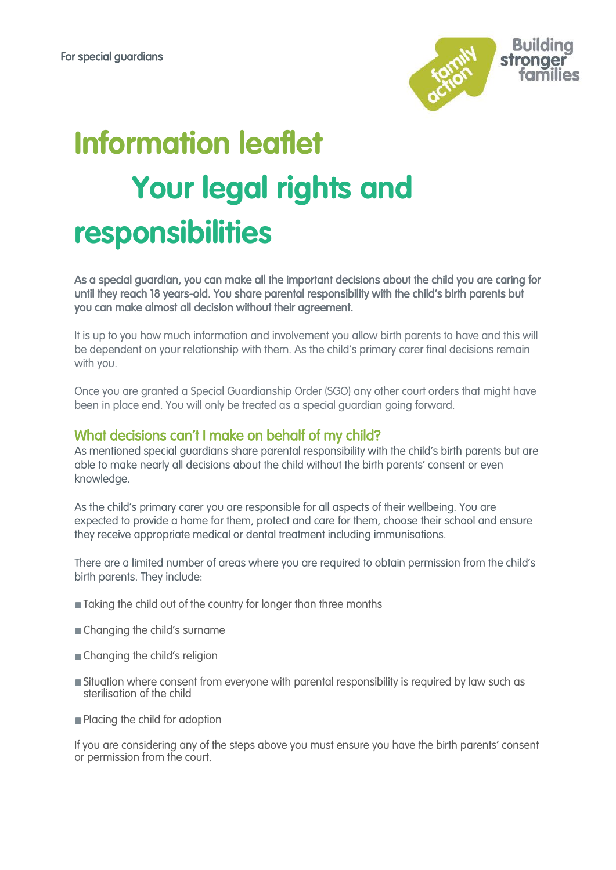

# **Information leaflet Your legal rights and responsibilities**

As a special guardian, you can make all the important decisions about the child you are caring for until they reach 18 years-old. You share parental responsibility with the child's birth parents but you can make almost all decision without their agreement.

It is up to you how much information and involvement you allow birth parents to have and this will be dependent on your relationship with them. As the child's primary carer final decisions remain with you.

Once you are granted a Special Guardianship Order (SGO) any other court orders that might have been in place end. You will only be treated as a special guardian going forward.

### What decisions can't I make on behalf of my child?

As mentioned special guardians share parental responsibility with the child's birth parents but are able to make nearly all decisions about the child without the birth parents' consent or even knowledge.

As the child's primary carer you are responsible for all aspects of their wellbeing. You are expected to provide a home for them, protect and care for them, choose their school and ensure they receive appropriate medical or dental treatment including immunisations.

There are a limited number of areas where you are required to obtain permission from the child's birth parents. They include:

- Taking the child out of the country for longer than three months
- Changing the child's surname
- **Changing the child's religion**
- **Situation where consent from everyone with parental responsibility is required by law such as** sterilisation of the child
- **Placing the child for adoption**

If you are considering any of the steps above you must ensure you have the birth parents' consent or permission from the court.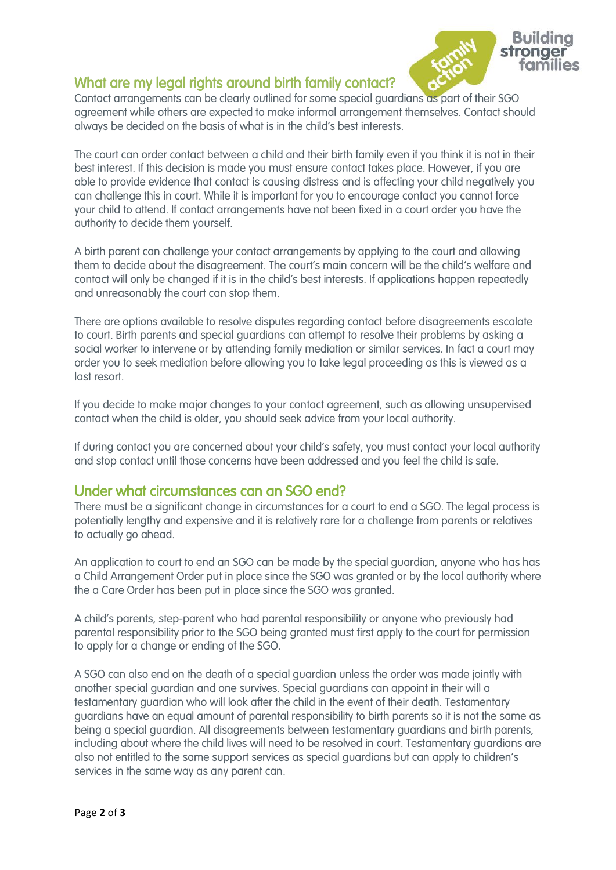

## What are my legal rights around birth family contact?

Contact arrangements can be clearly outlined for some special guardians as part of their SGO agreement while others are expected to make informal arrangement themselves. Contact should always be decided on the basis of what is in the child's best interests.

The court can order contact between a child and their birth family even if you think it is not in their best interest. If this decision is made you must ensure contact takes place. However, if you are able to provide evidence that contact is causing distress and is affecting your child negatively you can challenge this in court. While it is important for you to encourage contact you cannot force your child to attend. If contact arrangements have not been fixed in a court order you have the authority to decide them yourself.

A birth parent can challenge your contact arrangements by applying to the court and allowing them to decide about the disagreement. The court's main concern will be the child's welfare and contact will only be changed if it is in the child's best interests. If applications happen repeatedly and unreasonably the court can stop them.

There are options available to resolve disputes regarding contact before disagreements escalate to court. Birth parents and special guardians can attempt to resolve their problems by asking a social worker to intervene or by attending family mediation or similar services. In fact a court may order you to seek mediation before allowing you to take legal proceeding as this is viewed as a last resort.

If you decide to make major changes to your contact agreement, such as allowing unsupervised contact when the child is older, you should seek advice from your local authority.

If during contact you are concerned about your child's safety, you must contact your local authority and stop contact until those concerns have been addressed and you feel the child is safe.

## Under what circumstances can an SGO end?

There must be a significant change in circumstances for a court to end a SGO. The legal process is potentially lengthy and expensive and it is relatively rare for a challenge from parents or relatives to actually go ahead.

An application to court to end an SGO can be made by the special guardian, anyone who has has a Child Arrangement Order put in place since the SGO was granted or by the local authority where the a Care Order has been put in place since the SGO was granted.

A child's parents, step-parent who had parental responsibility or anyone who previously had parental responsibility prior to the SGO being granted must first apply to the court for permission to apply for a change or ending of the SGO.

A SGO can also end on the death of a special guardian unless the order was made jointly with another special guardian and one survives. Special guardians can appoint in their will a testamentary guardian who will look after the child in the event of their death. Testamentary guardians have an equal amount of parental responsibility to birth parents so it is not the same as being a special guardian. All disagreements between testamentary guardians and birth parents, including about where the child lives will need to be resolved in court. Testamentary guardians are also not entitled to the same support services as special guardians but can apply to children's services in the same way as any parent can.